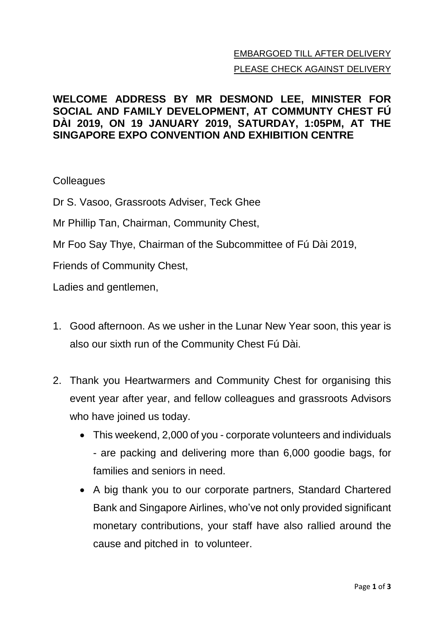## EMBARGOED TILL AFTER DELIVERY PLEASE CHECK AGAINST DELIVERY

## **WELCOME ADDRESS BY MR DESMOND LEE, MINISTER FOR SOCIAL AND FAMILY DEVELOPMENT, AT COMMUNTY CHEST FÚ DÀI 2019, ON 19 JANUARY 2019, SATURDAY, 1:05PM, AT THE SINGAPORE EXPO CONVENTION AND EXHIBITION CENTRE**

## **Colleagues**

Dr S. Vasoo, Grassroots Adviser, Teck Ghee

Mr Phillip Tan, Chairman, Community Chest,

Mr Foo Say Thye, Chairman of the Subcommittee of Fú Dài 2019,

Friends of Community Chest,

Ladies and gentlemen,

- 1. Good afternoon. As we usher in the Lunar New Year soon, this year is also our sixth run of the Community Chest Fú Dài.
- 2. Thank you Heartwarmers and Community Chest for organising this event year after year, and fellow colleagues and grassroots Advisors who have joined us today.
	- This weekend, 2,000 of you corporate volunteers and individuals - are packing and delivering more than 6,000 goodie bags, for families and seniors in need.
	- A big thank you to our corporate partners, Standard Chartered Bank and Singapore Airlines, who've not only provided significant monetary contributions, your staff have also rallied around the cause and pitched in to volunteer.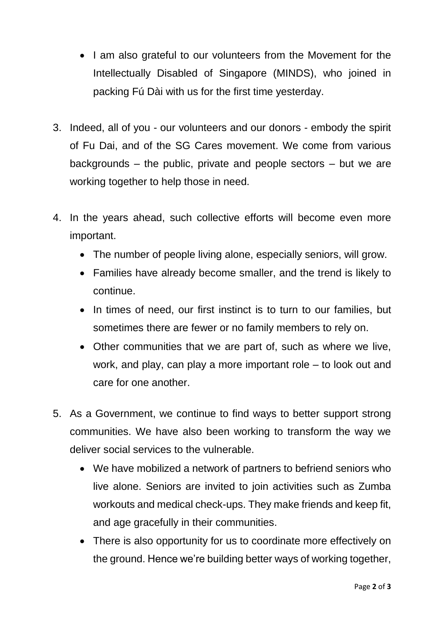- I am also grateful to our volunteers from the Movement for the Intellectually Disabled of Singapore (MINDS), who joined in packing Fú Dài with us for the first time yesterday.
- 3. Indeed, all of you our volunteers and our donors embody the spirit of Fu Dai, and of the SG Cares movement. We come from various backgrounds – the public, private and people sectors – but we are working together to help those in need.
- 4. In the years ahead, such collective efforts will become even more important.
	- The number of people living alone, especially seniors, will grow.
	- Families have already become smaller, and the trend is likely to continue.
	- In times of need, our first instinct is to turn to our families, but sometimes there are fewer or no family members to rely on.
	- Other communities that we are part of, such as where we live, work, and play, can play a more important role – to look out and care for one another.
- 5. As a Government, we continue to find ways to better support strong communities. We have also been working to transform the way we deliver social services to the vulnerable.
	- We have mobilized a network of partners to befriend seniors who live alone. Seniors are invited to join activities such as Zumba workouts and medical check-ups. They make friends and keep fit, and age gracefully in their communities.
	- There is also opportunity for us to coordinate more effectively on the ground. Hence we're building better ways of working together,